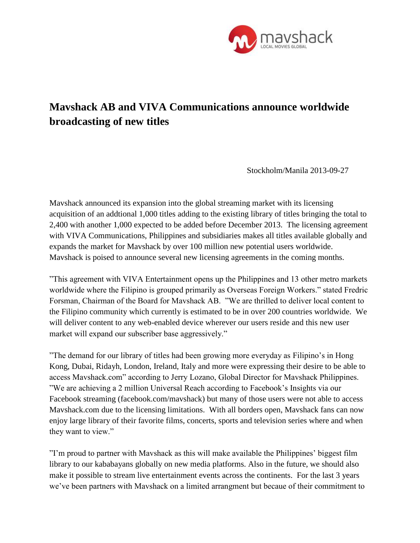

## **Mavshack AB and VIVA Communications announce worldwide broadcasting of new titles**

Stockholm/Manila 2013-09-27

Mavshack announced its expansion into the global streaming market with its licensing acquisition of an addtional 1,000 titles adding to the existing library of titles bringing the total to 2,400 with another 1,000 expected to be added before December 2013. The licensing agreement with VIVA Communications, Philippines and subsidiaries makes all titles available globally and expands the market for Mavshack by over 100 million new potential users worldwide. Mavshack is poised to announce several new licensing agreements in the coming months.

"This agreement with VIVA Entertainment opens up the Philippines and 13 other metro markets worldwide where the Filipino is grouped primarily as Overseas Foreign Workers." stated Fredric Forsman, Chairman of the Board for Mavshack AB. "We are thrilled to deliver local content to the Filipino community which currently is estimated to be in over 200 countries worldwide. We will deliver content to any web-enabled device wherever our users reside and this new user market will expand our subscriber base aggressively."

"The demand for our library of titles had been growing more everyday as Filipino's in Hong Kong, Dubai, Ridayh, London, Ireland, Italy and more were expressing their desire to be able to access Mavshack.com" according to Jerry Lozano, Global Director for Mavshack Philippines. "We are achieving a 2 million Universal Reach according to Facebook's Insights via our Facebook streaming (facebook.com/mavshack) but many of those users were not able to access Mavshack.com due to the licensing limitations. With all borders open, Mavshack fans can now enjoy large library of their favorite films, concerts, sports and television series where and when they want to view."

"I'm proud to partner with Mavshack as this will make available the Philippines' biggest film library to our kababayans globally on new media platforms. Also in the future, we should also make it possible to stream live entertainment events across the continents. For the last 3 years we've been partners with Mavshack on a limited arrangment but becaue of their commitment to